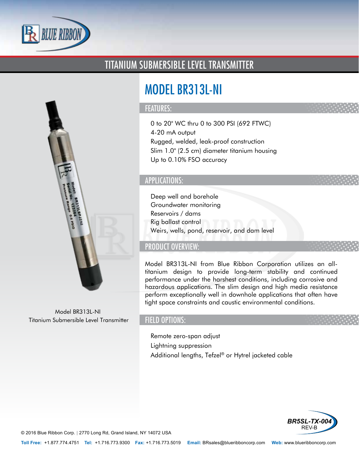

# TITANIUM SUBMERSIBLE LEVEL TRANSMITTER



Model BR313L-NI Titanium Submersible Level Transmitter

# MODEL BR313L-NI

#### FEATURES:

- 0 to 20" WC thru 0 to 300 PSI (692 FTWC)
- 4-20 mA output
- Rugged, welded, leak-proof construction
- Slim 1.0" (2.5 cm) diameter titanium housing
- Up to 0.10% FSO accuracy

#### APPLICATIONS:

- Deep well and borehole
- Groundwater monitoring
- Reservoirs / dams
- Rig ballast control
- Weirs, wells, pond, reservoir, and dam level

## PRODUCT OVERVIEW:

Model BR313L-NI from Blue Ribbon Corporation utilizes an alltitanium design to provide long-term stability and continued performance under the harshest conditions, including corrosive and hazardous applications. The slim design and high media resistance perform exceptionally well in downhole applications that often have tight space constraints and caustic environmental conditions.

### FIELD OPTIONS:

- Remote zero-span adjust
- Lightning suppression
- Additional lengths, Tefzel® or Hytrel jacketed cable



© 2016 Blue Ribbon Corp. *<sup>|</sup>* 2770 Long Rd, Grand Island, NY 14072 USA